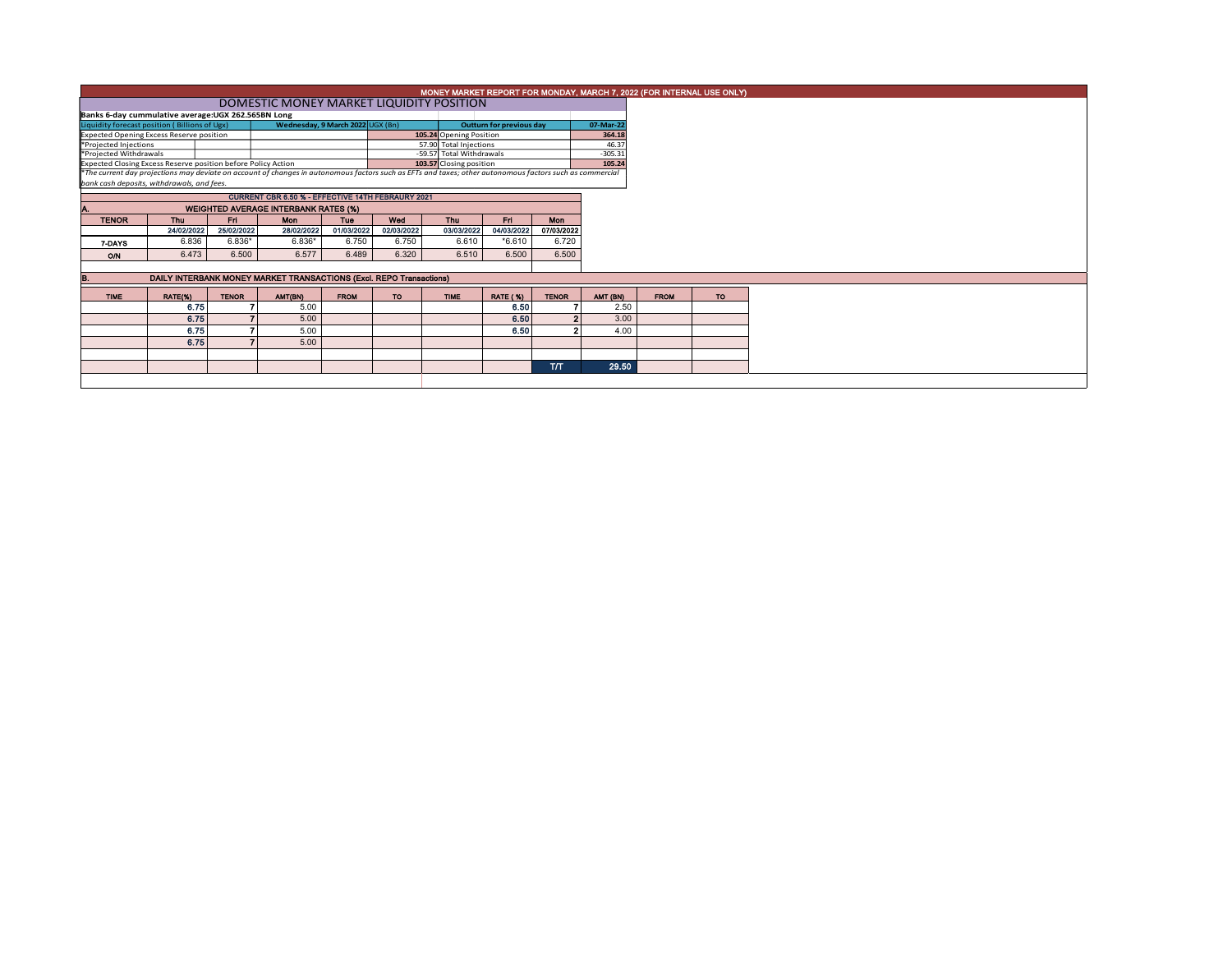|                                                                                                                            | MONEY MARKET REPORT FOR MONDAY, MARCH 7, 2022 (FOR INTERNAL USE ONLY) |              |                                                                                                                                                          |             |            |                                                    |                          |              |                    |             |           |  |  |  |
|----------------------------------------------------------------------------------------------------------------------------|-----------------------------------------------------------------------|--------------|----------------------------------------------------------------------------------------------------------------------------------------------------------|-------------|------------|----------------------------------------------------|--------------------------|--------------|--------------------|-------------|-----------|--|--|--|
|                                                                                                                            | DOMESTIC MONEY MARKET LIQUIDITY POSITION                              |              |                                                                                                                                                          |             |            |                                                    |                          |              |                    |             |           |  |  |  |
| Banks 6-day cummulative average: UGX 262.565BN Long                                                                        |                                                                       |              |                                                                                                                                                          |             |            |                                                    |                          |              |                    |             |           |  |  |  |
| Liquidity forecast position (Billions of Ugx)                                                                              |                                                                       |              | Wednesday, 9 March 2022 UGX (Bn)                                                                                                                         |             |            |                                                    | Outturn for previous day |              | 07-Mar-22          |             |           |  |  |  |
| <b>Expected Opening Excess Reserve position</b>                                                                            |                                                                       |              |                                                                                                                                                          |             |            | 105.24 Opening Position                            |                          |              | 364.18             |             |           |  |  |  |
| *Projected Injections<br>*Projected Withdrawals                                                                            |                                                                       |              |                                                                                                                                                          |             |            | 57.90 Total Injections<br>-59.57 Total Withdrawals |                          |              | 46.37<br>$-305.31$ |             |           |  |  |  |
| Expected Closing Excess Reserve position before Policy Action                                                              |                                                                       |              |                                                                                                                                                          |             |            | 103.57 Closing position                            |                          |              | 105.24             |             |           |  |  |  |
|                                                                                                                            |                                                                       |              | *The current day projections may deviate on account of changes in autonomous factors such as EFTs and taxes; other autonomous factors such as commercial |             |            |                                                    |                          |              |                    |             |           |  |  |  |
| bank cash deposits, withdrawals, and fees.                                                                                 |                                                                       |              |                                                                                                                                                          |             |            |                                                    |                          |              |                    |             |           |  |  |  |
|                                                                                                                            | <b>CURRENT CBR 6.50 % - EFFECTIVE 14TH FEBRAURY 2021</b>              |              |                                                                                                                                                          |             |            |                                                    |                          |              |                    |             |           |  |  |  |
|                                                                                                                            |                                                                       |              |                                                                                                                                                          |             |            |                                                    |                          |              |                    |             |           |  |  |  |
| <b>WEIGHTED AVERAGE INTERBANK RATES (%)</b><br><b>TENOR</b><br>Fri.<br><b>Thu</b><br>Mon<br>Wed<br>En<br>Tue<br><b>Thu</b> |                                                                       |              |                                                                                                                                                          |             |            |                                                    |                          | <b>Mon</b>   |                    |             |           |  |  |  |
|                                                                                                                            | 24/02/2022                                                            | 25/02/2022   | 28/02/2022                                                                                                                                               | 01/03/2022  | 02/03/2022 | 03/03/2022                                         | 04/03/2022               | 07/03/2022   |                    |             |           |  |  |  |
| 7-DAYS                                                                                                                     | 6.836                                                                 | $6.836*$     | $6.836*$                                                                                                                                                 | 6.750       | 6.750      | 6.610                                              | $*6.610$                 | 6.720        |                    |             |           |  |  |  |
| O/N                                                                                                                        | 6.473                                                                 | 6.500        | 6.577                                                                                                                                                    | 6.489       | 6.320      | 6.510                                              | 6.500                    | 6.500        |                    |             |           |  |  |  |
|                                                                                                                            |                                                                       |              |                                                                                                                                                          |             |            |                                                    |                          |              |                    |             |           |  |  |  |
| в.                                                                                                                         |                                                                       |              | DAILY INTERBANK MONEY MARKET TRANSACTIONS (Excl. REPO Transactions)                                                                                      |             |            |                                                    |                          |              |                    |             |           |  |  |  |
| <b>TIME</b>                                                                                                                | RATE(%)                                                               | <b>TENOR</b> | AMT(BN)                                                                                                                                                  | <b>FROM</b> | <b>TO</b>  | <b>TIME</b>                                        | <b>RATE (%)</b>          | <b>TENOR</b> | AMT (BN)           | <b>FROM</b> | <b>TO</b> |  |  |  |
|                                                                                                                            | 6.75                                                                  |              | 5.00                                                                                                                                                     |             |            |                                                    | 6.50                     |              | 2.50               |             |           |  |  |  |
|                                                                                                                            | 6.75                                                                  |              | 5.00                                                                                                                                                     |             |            |                                                    | 6.50                     |              | 3.00               |             |           |  |  |  |
|                                                                                                                            | 6.75                                                                  |              | 5.00                                                                                                                                                     |             |            |                                                    | 6.50                     |              | 4.00               |             |           |  |  |  |
|                                                                                                                            |                                                                       |              |                                                                                                                                                          |             |            |                                                    |                          |              |                    |             |           |  |  |  |
|                                                                                                                            | 6.75                                                                  |              | 5.00                                                                                                                                                     |             |            |                                                    |                          |              |                    |             |           |  |  |  |
|                                                                                                                            |                                                                       |              |                                                                                                                                                          |             |            |                                                    |                          |              |                    |             |           |  |  |  |
|                                                                                                                            |                                                                       |              |                                                                                                                                                          |             |            |                                                    |                          | <b>T/T</b>   | 29.50              |             |           |  |  |  |
|                                                                                                                            |                                                                       |              |                                                                                                                                                          |             |            |                                                    |                          |              |                    |             |           |  |  |  |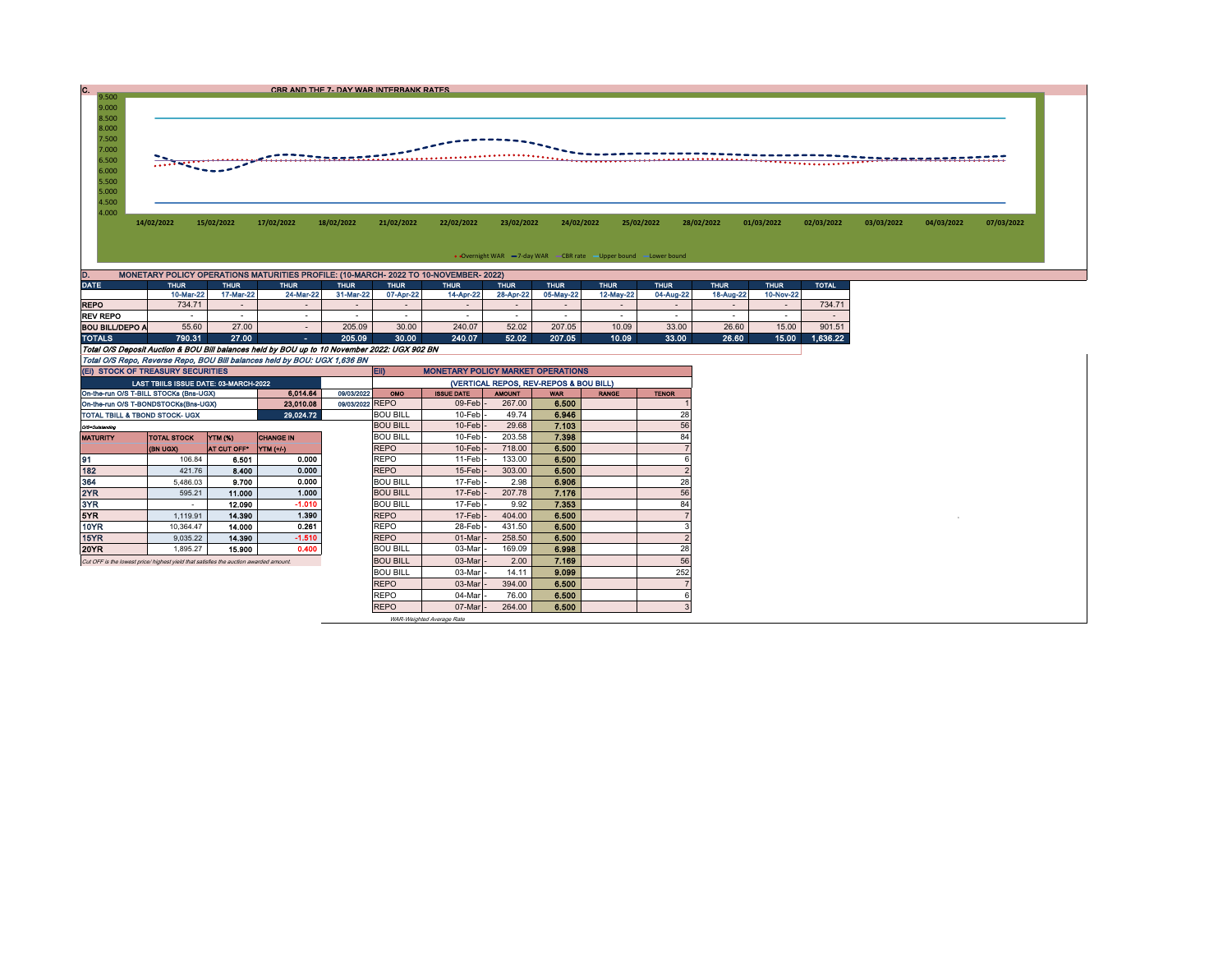| $9.500 -$<br>9.000<br>8.500<br>8.000<br>7.500<br>7.000<br>6.500<br>6.000<br>5.500<br>5.000 | $\sqrt{2}$                                                                                                                                              |            |            | CBR AND THE 7- DAY WAR INTERBANK RATES<br>. <del>.</del> |            |            | <u></u>    |            |            |            |            |            |            |            |            |
|--------------------------------------------------------------------------------------------|---------------------------------------------------------------------------------------------------------------------------------------------------------|------------|------------|----------------------------------------------------------|------------|------------|------------|------------|------------|------------|------------|------------|------------|------------|------------|
| 4.500<br>4.000                                                                             | 14/02/2022                                                                                                                                              | 15/02/2022 | 17/02/2022 | 18/02/2022                                               | 21/02/2022 | 22/02/2022 | 23/02/2022 | 24/02/2022 | 25/02/2022 | 28/02/2022 | 01/03/2022 | 02/03/2022 | 03/03/2022 | 04/03/2022 | 07/03/2022 |
|                                                                                            | • Overnight WAR -7-day WAR - CBR rate -Upper bound -Lower bound<br>MONETARY POLICY OPERATIONS MATURITIES PROFILE: (10-MARCH- 2022 TO 10-NOVEMBER- 2022) |            |            |                                                          |            |            |            |            |            |            |            |            |            |            |            |

| <b>DATE</b>                                                                                  | <b>THUR</b> | <b>THUR</b> | <b>THUR</b> | <b>THUR</b> | <b>ITHUR</b> |           | <b>THUR</b>              | <b>THUR</b>              | <b>THUR</b>              | <b>THUR</b>              | <b>THUR</b> | <b>THUR</b> | <b>TOTAL</b>             |
|----------------------------------------------------------------------------------------------|-------------|-------------|-------------|-------------|--------------|-----------|--------------------------|--------------------------|--------------------------|--------------------------|-------------|-------------|--------------------------|
|                                                                                              | 10-Mar-22   | 17-Mar-22   | 24-Mar-22   | 31-Mar-22   | 07-Apr-22    | 14-Apr-22 | 28-Apr-22                | 05-May-22                | 12-May-22                | 04-Aug-22                | 18-Aug-22   | 10-Nov-22   |                          |
| <b>REPO</b>                                                                                  | 734.71      |             |             |             | -            | -         | $\overline{\phantom{0}}$ | $\overline{\phantom{0}}$ | -                        | $\overline{\phantom{0}}$ |             |             | 734.71                   |
| <b>REV REPO</b>                                                                              |             |             |             |             | -            |           | -                        |                          | $\overline{\phantom{a}}$ |                          |             |             | $\overline{\phantom{a}}$ |
| <b>BOU BILL/DEPO A</b>                                                                       | 55.60       | 27.00       |             | 205.09      | 30.00        | 240.07    | 52.02                    | 207.05                   | 10.09                    | 33.00                    | 26.60       | 15.00       | 901.51                   |
| <b>TOTALS</b>                                                                                | 790.31      | 27.00       | . .         | 205.09      | 30.00        | 240.07    | 52.02                    | 207.05                   | 10.09                    | 33.00                    | 26.60       | 15.00       | 1.636.22                 |
| Total O/S Deposit Auction & BOU Bill balances held by BOU up to 10 November 2022: UGX 902 BN |             |             |             |             |              |           |                          |                          |                          |                          |             |             |                          |
| Total O/S Repo, Reverse Repo, BOU Bill balances held by BOU: UGX 1,636 BN                    |             |             |             |             |              |           |                          |                          |                          |                          |             |             |                          |

| (EI) STOCK OF TREASURY SECURITIES                                                     |                                       |                |                  |  | EII)<br><b>MONETARY POLICY MARKET OPERATIONS</b> |                   |               |            |              |              |  |  |  |
|---------------------------------------------------------------------------------------|---------------------------------------|----------------|------------------|--|--------------------------------------------------|-------------------|---------------|------------|--------------|--------------|--|--|--|
|                                                                                       | LAST TBIILS ISSUE DATE: 03-MARCH-2022 |                |                  |  | (VERTICAL REPOS, REV-REPOS & BOU BILL)           |                   |               |            |              |              |  |  |  |
| 6.014.64<br>09/03/2022<br>On-the-run O/S T-BILL STOCKs (Bns-UGX)                      |                                       |                |                  |  |                                                  | <b>ISSUE DATE</b> | <b>AMOUNT</b> | <b>WAR</b> | <b>RANGE</b> | <b>TENOR</b> |  |  |  |
| 23,010.08<br>On-the-run O/S T-BONDSTOCKs(Bns-UGX)                                     |                                       |                |                  |  | 09/03/2022 REPO                                  | $09$ -Feb         | 267.00        | 6.500      |              |              |  |  |  |
| 29,024.72<br>TOTAL TBILL & TBOND STOCK- UGX                                           |                                       |                |                  |  | <b>BOU BILL</b>                                  | 10-Feb            | 49.74         | 6.946      |              | 28           |  |  |  |
| O/S=Outstanding                                                                       |                                       |                |                  |  | <b>BOU BILL</b>                                  | 10-Feb            | 29.68         | 7.103      |              | 56           |  |  |  |
| <b>MATURITY</b>                                                                       | <b>TOTAL STOCK</b>                    | <b>YTM (%)</b> | <b>CHANGE IN</b> |  | <b>BOU BILL</b>                                  | 10-Feb            | 203.58        | 7.398      |              | 84           |  |  |  |
|                                                                                       | (BN UGX)                              | AT CUT OFF"    | <b>YTM</b> (+/-) |  | <b>REPO</b>                                      | $10$ -Feb         | 718.00        | 6.500      |              |              |  |  |  |
| 91                                                                                    | 106.84                                | 6.501          | 0.000            |  | <b>REPO</b>                                      | 11-Feb            | 133.00        | 6.500      |              |              |  |  |  |
| 182                                                                                   | 421.76                                | 8.400          | 0.000            |  | <b>REPO</b>                                      | $15$ -Feb         | 303.00        | 6.500      |              |              |  |  |  |
| 364                                                                                   | 5,486.03                              | 9.700          | 0.000            |  | <b>BOU BILL</b>                                  | 17-Feb            | 2.98          | 6.906      |              | 28           |  |  |  |
| 2YR                                                                                   | 595.21                                | 11.000         | 1.000            |  | <b>BOU BILL</b>                                  | $17$ -Feb         | 207.78        | 7.176      |              | 56           |  |  |  |
| 3YR                                                                                   | $\overline{\phantom{a}}$              | 12.090         | $-1.010$         |  | <b>BOU BILL</b>                                  | 17-Feb            | 9.92          | 7.353      |              | 84           |  |  |  |
| 5YR                                                                                   | 1.119.91                              | 14.390         | 1.390            |  | <b>REPO</b>                                      | $17$ -Feb         | 404.00        | 6.500      |              |              |  |  |  |
| 10YR                                                                                  | 10.364.47                             | 14.000         | 0.261            |  | <b>REPO</b>                                      | 28-Feb            | 431.50        | 6.500      |              |              |  |  |  |
| 15YR                                                                                  | 9,035.22                              | 14.390         | $-1.510$         |  | <b>REPO</b>                                      | 01-Mar            | 258.50        | 6.500      |              |              |  |  |  |
| 20YR                                                                                  | 1,895.27                              | 15.900         | 0.400            |  | <b>BOU BILL</b>                                  | 03-Mar            | 169.09        | 6.998      |              | 28           |  |  |  |
| Cut OFF is the lowest price/ highest yield that satisfies the auction awarded amount. |                                       |                |                  |  | <b>BOU BILL</b>                                  | 03-Mar            | 2.00          | 7.169      |              | 56           |  |  |  |
|                                                                                       |                                       |                |                  |  | <b>BOU BILL</b>                                  | 03-Mar            | 14.11         | 9.099      |              | 252          |  |  |  |
|                                                                                       |                                       |                |                  |  | <b>REPO</b>                                      | 03-Mar            | 394.00        | 6.500      |              |              |  |  |  |
|                                                                                       |                                       |                |                  |  | <b>REPO</b>                                      | 04-Mar            | 76.00         | 6.500      |              |              |  |  |  |
|                                                                                       |                                       |                |                  |  | <b>REPO</b>                                      | 07-Mar            | 264.00        | 6,500      |              |              |  |  |  |

WAR-Weighted Average Rate